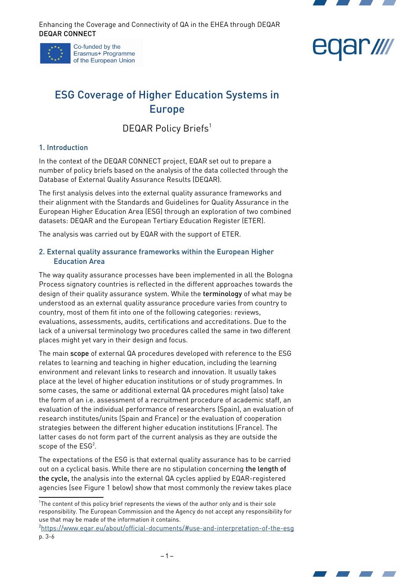





# ESG Coverage of Higher Education Systems in Europe

DEQAR Policy Briefs<sup>[1](#page-0-0)</sup>

# 1. Introduction

In the context of the DEQAR CONNECT project, EQAR set out to prepare a number of policy briefs based on the analysis of the data collected through the Database of External Quality Assurance Results (DEQAR).

The first analysis delves into the external quality assurance frameworks and their alignment with the Standards and Guidelines for Quality Assurance in the European Higher Education Area (ESG) through an exploration of two combined datasets: DEQAR and the European Tertiary Education Register (ETER).

The analysis was carried out by EQAR with the support of ETER.

## 2. External quality assurance frameworks within the European Higher Education Area

The way quality assurance processes have been implemented in all the Bologna Process signatory countries is reflected in the different approaches towards the design of their quality assurance system. While the terminology of what may be understood as an external quality assurance procedure varies from country to country, most of them fit into one of the following categories: reviews, evaluations, assessments, audits, certifications and accreditations. Due to the lack of a universal terminology two procedures called the same in two different places might yet vary in their design and focus.

The main scope of external QA procedures developed with reference to the ESG relates to learning and teaching in higher education, including the learning environment and relevant links to research and innovation. It usually takes place at the level of higher education institutions or of study programmes. In some cases, the same or additional external QA procedures might (also) take the form of an i.e. assessment of a recruitment procedure of academic staff, an evaluation of the individual performance of researchers (Spain), an evaluation of research institutes/units (Spain and France) or the evaluation of cooperation strategies between the different higher education institutions (France). The latter cases do not form part of the current analysis as they are outside the scope of the  $ESG<sup>2</sup>$  $ESG<sup>2</sup>$  $ESG<sup>2</sup>$ .

The expectations of the ESG is that external quality assurance has to be carried out on a cyclical basis. While there are no stipulation concerning the length of the cycle, the analysis into the external QA cycles applied by EQAR-registered agencies (see [Figure 1](#page-1-0) below) show that most commonly the review takes place

<span id="page-0-1"></span><sup>2</sup> <https://www.eqar.eu/about/official-documents/#use-and-interpretation-of-the-esg> p. 3-6



<span id="page-0-0"></span><sup>&</sup>lt;sup>1</sup>The content of this policy brief represents the views of the author only and is their sole responsibility. The European Commission and the Agency do not accept any responsibility for use that may be made of the information it contains.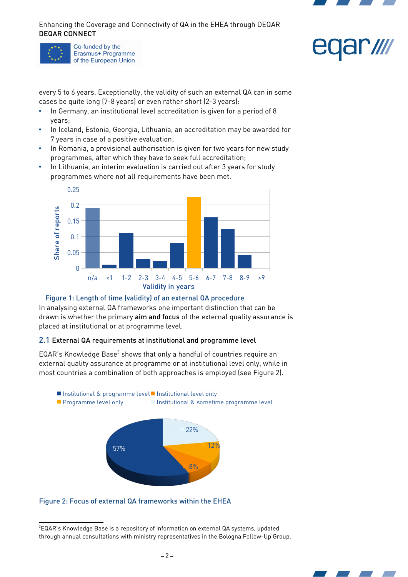





every 5 to 6 years. Exceptionally, the validity of such an external QA can in some cases be quite long (7-8 years) or even rather short (2-3 years):

- In Germany, an institutional level accreditation is given for a period of 8 years;
- In Iceland, Estonia, Georgia, Lithuania, an accreditation may be awarded for 7 years in case of a positive evaluation;
- In Romania, a provisional authorisation is given for two years for new study programmes, after which they have to seek full accreditation;
- In Lithuania, an interim evaluation is carried out after 3 years for study programmes where not all requirements have been met.



#### <span id="page-1-0"></span>Figure 1: Length of time (validity) of an external QA procedure

In analysing external QA frameworks one important distinction that can be drawn is whether the primary aim and focus of the external quality assurance is placed at institutional or at programme level.

#### 2.1 External QA requirements at institutional and programme level

EQAR's Knowledge Base $3$  shows that only a handful of countries require an external quality assurance at programme or at institutional level only, while in most countries a combination of both approaches is employed (see [Figure 2](#page-1-1)).

57% 8% 12% 22% ■ Institutional & programme level ■ Institutional level only **Programme level only Institutional & sometime programme level** 

<span id="page-1-1"></span>Figure 2: Focus of external QA frameworks within the EHEA



<span id="page-1-2"></span><sup>&</sup>lt;sup>3</sup>EQAR's Knowledge Base is a repository of information on external QA systems, updated through annual consultations with ministry representatives in the Bologna Follow-Up Group.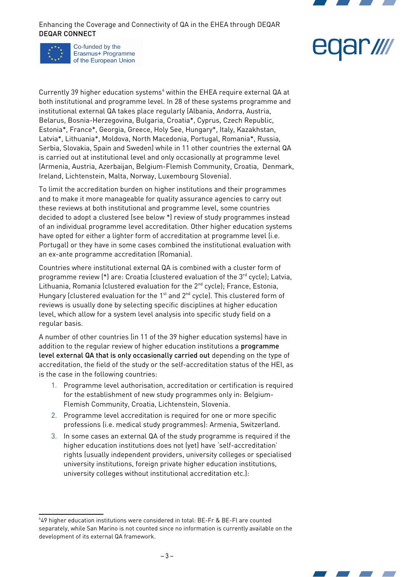

Co-funded by the Erasmus+ Programme of the European Union



Currently 39 higher education systems<sup>[4](#page-2-0)</sup> within the EHEA require external QA at both institutional and programme level. In 28 of these systems programme and institutional external QA takes place regularly (Albania, Andorra, Austria, Belarus, Bosnia-Herzegovina, Bulgaria, Croatia\*, Cyprus, Czech Republic, Estonia\*, France\*, Georgia, Greece, Holy See, Hungary\*, Italy, Kazakhstan, Latvia\*, Lithuania\*, Moldova, North Macedonia, Portugal, Romania\*, Russia, Serbia, Slovakia, Spain and Sweden) while in 11 other countries the external QA is carried out at institutional level and only occasionally at programme level (Armenia, Austria, Azerbaijan, Belgium-Flemish Community, Croatia, Denmark, Ireland, Lichtenstein, Malta, Norway, Luxembourg Slovenia).

To limit the accreditation burden on higher institutions and their programmes and to make it more manageable for quality assurance agencies to carry out these reviews at both institutional and programme level, some countries decided to adopt a clustered (see below \*) review of study programmes instead of an individual programme level accreditation. Other higher education systems have opted for either a lighter form of accreditation at programme level (i.e. Portugal) or they have in some cases combined the institutional evaluation with an ex-ante programme accreditation (Romania).

Countries where institutional external QA is combined with a cluster form of programme review  $(*)$  are: Croatia (clustered evaluation of the  $3<sup>rd</sup>$  cycle); Latvia, Lithuania, Romania (clustered evaluation for the 2<sup>nd</sup> cycle); France, Estonia, Hungary (clustered evaluation for the  $1<sup>st</sup>$  and  $2<sup>nd</sup>$  cycle). This clustered form of reviews is usually done by selecting specific disciplines at higher education level, which allow for a system level analysis into specific study field on a regular basis.

A number of other countries (in 11 of the 39 higher education systems) have in addition to the regular review of higher education institutions a programme level external QA that is only occasionally carried out depending on the type of accreditation, the field of the study or the self-accreditation status of the HEI, as is the case in the following countries:

- 1. Programme level authorisation, accreditation or certification is required for the establishment of new study programmes only in: Belgium-Flemish Community, Croatia, Lichtenstein, Slovenia.
- 2. Programme level accreditation is required for one or more specific professions (i.e. medical study programmes): Armenia, Switzerland.
- 3. In some cases an external QA of the study programme is required if the higher education institutions does not (yet) have 'self-accreditation' rights (usually independent providers, university colleges or specialised university institutions, foreign private higher education institutions, university colleges without institutional accreditation etc.):

<span id="page-2-0"></span><sup>4</sup> 49 higher education institutions were considered in total: BE-Fr & BE-Fl are counted separately, while San Marino is not counted since no information is currently available on the development of its external QA framework.

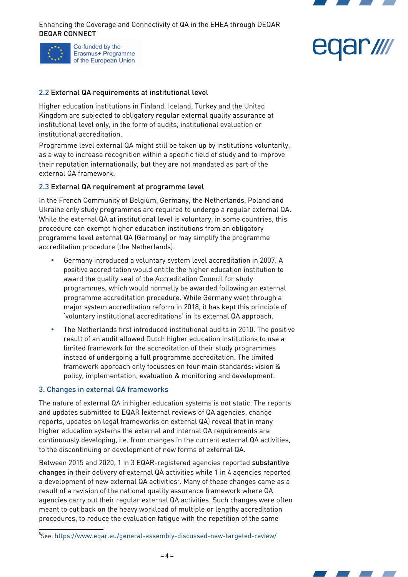

# ar *III*

# 2.2 External QA requirements at institutional level

Higher education institutions in Finland, Iceland, Turkey and the United Kingdom are subjected to obligatory regular external quality assurance at institutional level only, in the form of audits, institutional evaluation or institutional accreditation.

Programme level external QA might still be taken up by institutions voluntarily, as a way to increase recognition within a specific field of study and to improve their reputation internationally, but they are not mandated as part of the external QA framework.

#### 2.3 External QA requirement at programme level

In the French Community of Belgium, Germany, the Netherlands, Poland and Ukraine only study programmes are required to undergo a regular external QA. While the external QA at institutional level is voluntary, in some countries, this procedure can exempt higher education institutions from an obligatory programme level external QA (Germany) or may simplify the programme accreditation procedure (the Netherlands).

- Germany introduced a voluntary system level accreditation in 2007. A positive accreditation would entitle the higher education institution to award the quality seal of the Accreditation Council for study programmes, which would normally be awarded following an external programme accreditation procedure. While Germany went through a major system accreditation reform in 2018, it has kept this principle of 'voluntary institutional accreditations' in its external QA approach.
- The Netherlands first introduced institutional audits in 2010. The positive result of an audit allowed Dutch higher education institutions to use a limited framework for the accreditation of their study programmes instead of undergoing a full programme accreditation. The limited framework approach only focusses on four main standards: vision & policy, implementation, evaluation & monitoring and development.

#### 3. Changes in external QA frameworks

The nature of external QA in higher education systems is not static. The reports and updates submitted to EQAR (external reviews of QA agencies, change reports, updates on legal frameworks on external QA) reveal that in many higher education systems the external and internal QA requirements are continuously developing, i.e. from changes in the current external QA activities, to the discontinuing or development of new forms of external QA.

Between 2015 and 2020, 1 in 3 EQAR-registered agencies reported substantive changes in their delivery of external QA activities while 1 in 4 agencies reported a development of new external QA activities $^5$  $^5$ . Many of these changes came as a result of a revision of the national quality assurance framework where QA agencies carry out their regular external QA activities. Such changes were often meant to cut back on the heavy workload of multiple or lengthy accreditation procedures, to reduce the evaluation fatigue with the repetition of the same



<span id="page-3-0"></span><sup>5</sup> See: <https://www.eqar.eu/general-assembly-discussed-new-targeted-review/>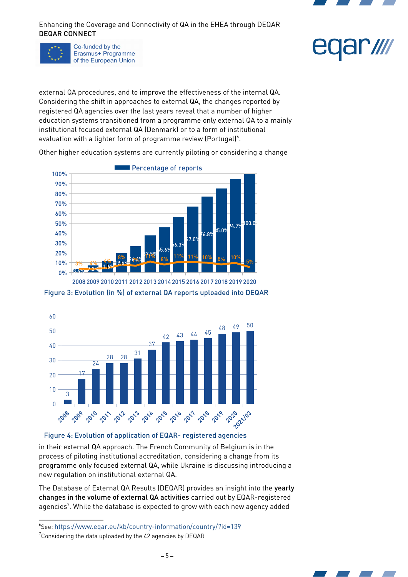

Co-funded by the Erasmus+ Programme of the European Union



external QA procedures, and to improve the effectiveness of the internal QA. Considering the shift in approaches to external QA, the changes reported by registered QA agencies over the last years reveal that a number of higher education systems transitioned from a programme only external QA to a mainly institutional focused external QA (Denmark) or to a form of institutional evaluation with a lighter form of programme review (Portugal) $^6$  $^6$ .

Other higher education systems are currently piloting or considering a change



<span id="page-4-3"></span>Figure 3: Evolution (in %) of external QA reports uploaded into DEQAR 2008 2009 2010 2011 2012 2013 2014 2015 2016 2017 2018 2019 2020



# <span id="page-4-2"></span>Figure 4: Evolution of application of EQAR- registered agencies

in their external QA approach. The French Community of Belgium is in the process of piloting institutional accreditation, considering a change from its programme only focused external QA, while Ukraine is discussing introducing a new regulation on institutional external QA.

The Database of External QA Results (DEQAR) provides an insight into the yearly changes in the volume of external QA activities carried out by EQAR-registered agencies $^7$  $^7$ . While the database is expected to grow with each new agency added

<span id="page-4-0"></span><sup>6</sup> See: <https://www.eqar.eu/kb/country-information/country/?id=139>

<span id="page-4-1"></span> ${\rm ^7}$ Considering the data uploaded by the 42 agencies by DEQAR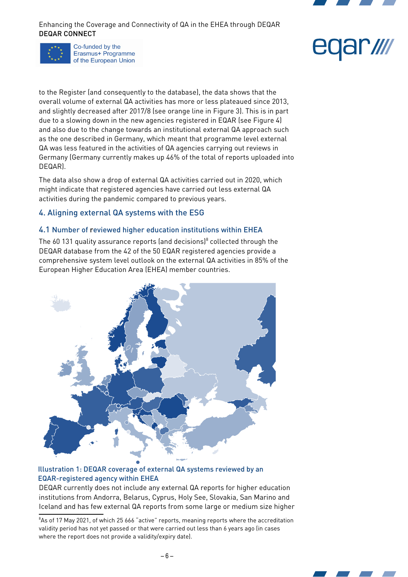

Co-funded by the Erasmus+ Programme of the European Union



to the Register (and consequently to the database), the data shows that the overall volume of external QA activities has more or less plateaued since 2013, and slightly decreased after 2017/8 (see orange line in [Figure 3\)](#page-4-3). This is in part due to a slowing down in the new agencies registered in EQAR (see [Figure 4](#page-4-2)) and also due to the change towards an institutional external QA approach such as the one described in Germany, which meant that programme level external QA was less featured in the activities of QA agencies carrying out reviews in Germany (Germany currently makes up 46% of the total of reports uploaded into DEQAR).

The data also show a drop of external QA activities carried out in 2020, which might indicate that registered agencies have carried out less external QA activities during the pandemic compared to previous years.

# 4. Aligning external QA systems with the ESG

## 4.1 Number of reviewed higher education institutions within EHEA

The 60 131 quality assurance reports (and decisions) $^8$  $^8$  collected through the DEQAR database from the 42 of the 50 EQAR registered agencies provide a comprehensive system level outlook on the external QA activities in 85% of the European Higher Education Area (EHEA) member countries.



## <span id="page-5-1"></span>Illustration 1: DEQAR coverage of external QA systems reviewed by an EQAR-registered agency within EHEA

DEQAR currently does not include any external QA reports for higher education institutions from Andorra, Belarus, Cyprus, Holy See, Slovakia, San Marino and Iceland and has few external QA reports from some large or medium size higher

<span id="page-5-0"></span><sup>&</sup>lt;sup>8</sup>As of 17 May 2021, of which 25 666 "active" reports, meaning reports where the accreditation validity period has not yet passed or that were carried out less than 6 years ago (in cases where the report does not provide a validity/expiry date).

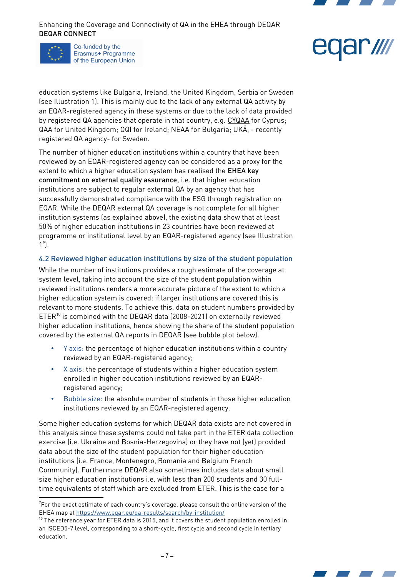

Co-funded by the Erasmus+ Programme of the European Union

education systems like Bulgaria, Ireland, the United Kingdom, Serbia or Sweden (see [Illustration 1](#page-5-1)). This is mainly due to the lack of any external QA activity by an EQAR-registered agency in these systems or due to the lack of data provided by registered QA agencies that operate in that country, e.g. [CYQAA](https://www.eqar.eu/register/agencies/agency/?id=60) for Cyprus; [QAA](https://www.eqar.eu/register/agencies/agency/?id=39) for United Kingdom; [QQI](https://www.eqar.eu/register/agencies/agency/?id=41) for Ireland; [NEAA](https://www.eqar.eu/register/agencies/agency/?id=49) for Bulgaria; [UK](https://www.eqar.eu/register/agencies/agency/?id=63)Ä, - recently registered QA agency- for Sweden.

The number of higher education institutions within a country that have been reviewed by an EQAR-registered agency can be considered as a proxy for the extent to which a higher education system has realised the EHEA key commitment on external quality assurance, i.e. that higher education institutions are subject to regular external QA by an agency that has successfully demonstrated compliance with the ESG through registration on EQAR. While the DEQAR external QA coverage is not complete for all higher institution systems (as explained above), the existing data show that at least 50% of higher education institutions in 23 countries have been reviewed at programme or institutional level by an EQAR-registered agency (see [Illustration](#page-5-1)   $1^9$  $1^9$  $1^9$ .

## 4.2 Reviewed higher education institutions by size of the student population

While the number of institutions provides a rough estimate of the coverage at system level, taking into account the size of the student population within reviewed institutions renders a more accurate picture of the extent to which a higher education system is covered: if larger institutions are covered this is relevant to more students. To achieve this, data on student numbers provided by  $ETER^{10}$  $ETER^{10}$  $ETER^{10}$  is combined with the DEQAR data (2008-2021) on externally reviewed higher education institutions, hence showing the share of the student population covered by the external QA reports in DEQAR (see bubble plot below).

- Y axis: the percentage of higher education institutions within a country reviewed by an EQAR-registered agency;
- X axis: the percentage of students within a higher education system enrolled in higher education institutions reviewed by an EQARregistered agency;
- Bubble size: the absolute number of students in those higher education institutions reviewed by an EQAR-registered agency.

Some higher education systems for which DEQAR data exists are not covered in this analysis since these systems could not take part in the ETER data collection exercise (i.e. Ukraine and Bosnia-Herzegovina) or they have not (yet) provided data about the size of the student population for their higher education institutions (i.e. France, Montenegro, Romania and Belgium French Community). Furthermore DEQAR also sometimes includes data about small size higher education institutions i.e. with less than 200 students and 30 fulltime equivalents of staff which are excluded from ETER. This is the case for a



<span id="page-6-0"></span> $^9$ For the exact estimate of each country's coverage, please consult the online version of the EHEA map at<https://www.eqar.eu/qa-results/search/by-institution/>

<span id="page-6-1"></span> $10$  The reference year for ETER data is 2015, and it covers the student population enrolled in an ISCED5-7 level, corresponding to a short-cycle, first cycle and second cycle in tertiary education.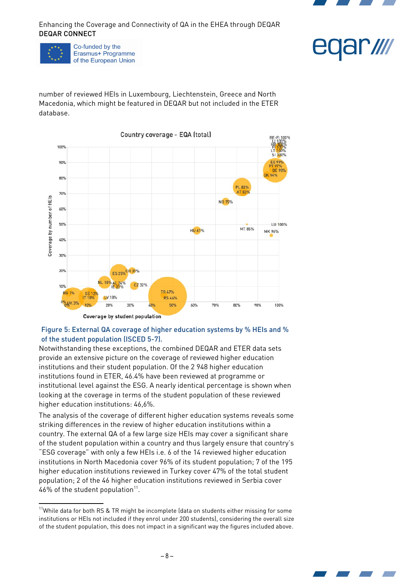



Co-funded by the Erasmus+ Programme of the European Union eqar*illi* 

number of reviewed HEIs in Luxembourg, Liechtenstein, Greece and North Macedonia, which might be featured in DEQAR but not included in the ETER database.



## Figure 5: External QA coverage of higher education systems by % HEIs and % of the student population (ISCED 5-7).

Notwithstanding these exceptions, the combined DEQAR and ETER data sets provide an extensive picture on the coverage of reviewed higher education institutions and their student population. Of the 2 948 higher education institutions found in ETER, 46.4% have been reviewed at programme or institutional level against the ESG. A nearly identical percentage is shown when looking at the coverage in terms of the student population of these reviewed higher education institutions: 46,6%.

The analysis of the coverage of different higher education systems reveals some striking differences in the review of higher education institutions within a country. The external QA of a few large size HEIs may cover a significant share of the student population within a country and thus largely ensure that country's "ESG coverage" with only a few HEIs i.e. 6 of the 14 reviewed higher education institutions in North Macedonia cover 96% of its student population; 7 of the 195 higher education institutions reviewed in Turkey cover 47% of the total student population; 2 of the 46 higher education institutions reviewed in Serbia cover 46% of the student population $^{\text{11}}$  $^{\text{11}}$  $^{\text{11}}$ .



<span id="page-7-0"></span><sup>&</sup>lt;sup>11</sup>While data for both RS & TR might be incomplete (data on students either missing for some institutions or HEIs not included if they enrol under 200 students), considering the overall size of the student population, this does not impact in a significant way the figures included above.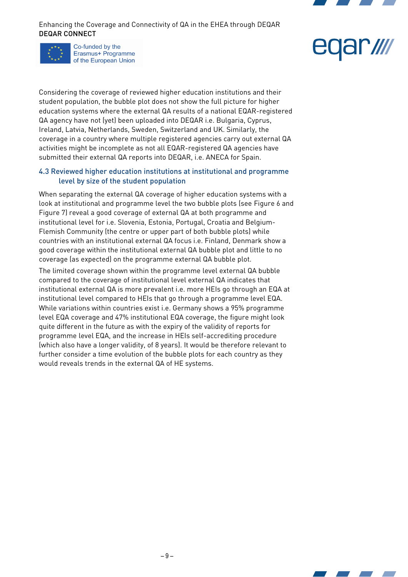

Co-funded by the Erasmus+ Programme of the European Union



Considering the coverage of reviewed higher education institutions and their student population, the bubble plot does not show the full picture for higher education systems where the external QA results of a national EQAR-registered QA agency have not (yet) been uploaded into DEQAR i.e. Bulgaria, Cyprus, Ireland, Latvia, Netherlands, Sweden, Switzerland and UK. Similarly, the coverage in a country where multiple registered agencies carry out external QA activities might be incomplete as not all EQAR-registered QA agencies have submitted their external QA reports into DEQAR, i.e. ANECA for Spain.

#### 4.3 Reviewed higher education institutions at institutional and programme level by size of the student population

When separating the external QA coverage of higher education systems with a look at institutional and programme level the two bubble plots (see [Figure 6](#page-9-1) and [Figure 7](#page-9-0)) reveal a good coverage of external QA at both programme and institutional level for i.e. Slovenia, Estonia, Portugal, Croatia and Belgium-Flemish Community (the centre or upper part of both bubble plots) while countries with an institutional external QA focus i.e. Finland, Denmark show a good coverage within the institutional external QA bubble plot and little to no coverage (as expected) on the programme external QA bubble plot.

The limited coverage shown within the programme level external QA bubble compared to the coverage of institutional level external QA indicates that institutional external QA is more prevalent i.e. more HEIs go through an EQA at institutional level compared to HEIs that go through a programme level EQA. While variations within countries exist i.e. Germany shows a 95% programme level EQA coverage and 47% institutional EQA coverage, the figure might look quite different in the future as with the expiry of the validity of reports for programme level EQA, and the increase in HEIs self-accrediting procedure (which also have a longer validity, of 8 years). It would be therefore relevant to further consider a time evolution of the bubble plots for each country as they would reveals trends in the external QA of HE systems.

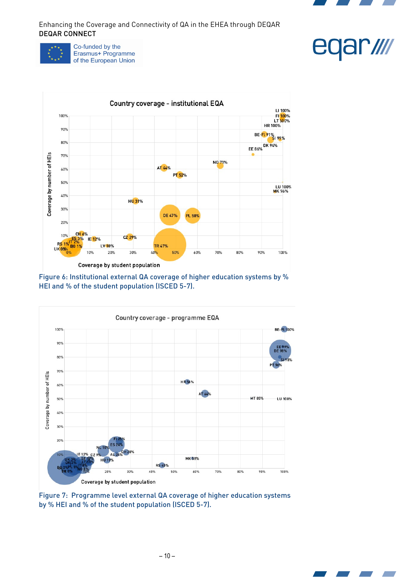







<span id="page-9-1"></span>



<span id="page-9-0"></span>Figure 7: Programme level external QA coverage of higher education systems by % HEI and % of the student population (ISCED 5-7).

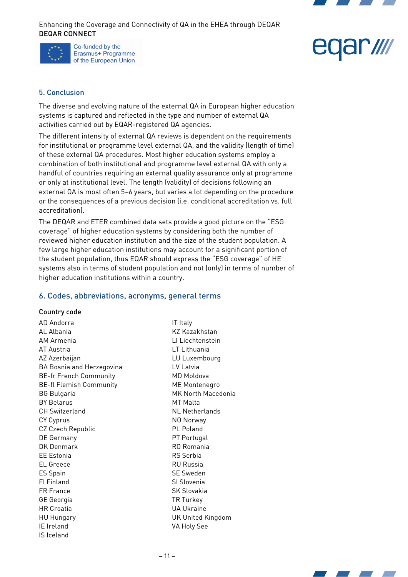



#### 5. Conclusion

The diverse and evolving nature of the external QA in European higher education systems is captured and reflected in the type and number of external QA activities carried out by EQAR-registered QA agencies.

The different intensity of external QA reviews is dependent on the requirements for institutional or programme level external QA, and the validity (length of time) of these external QA procedures. Most higher education systems employ a combination of both institutional and programme level external QA with only a handful of countries requiring an external quality assurance only at programme or only at institutional level. The length (validity) of decisions following an external QA is most often 5–6 years, but varies a lot depending on the procedure or the consequences of a previous decision (i.e. conditional accreditation vs. full accreditation).

The DEQAR and ETER combined data sets provide a good picture on the "ESG coverage" of higher education systems by considering both the number of reviewed higher education institution and the size of the student population. A few large higher education institutions may account for a significant portion of the student population, thus EQAR should express the "ESG coverage" of HE systems also in terms of student population and not (only) in terms of number of higher education institutions within a country.

#### 6. Codes, abbreviations, acronyms, general terms

#### Country code

AD Andorra AL Albania AM Armenia AT Austria AZ Azerbaijan BA Bosnia and Herzegovina BE-fr French Community BE-fl Flemish Community BG Bulgaria BY Belarus CH Switzerland CY Cyprus CZ Czech Republic DE Germany DK Denmark EE Estonia EL Greece ES Spain FI Finland FR France GE Georgia HR Croatia HU Hungary IE Ireland IS Iceland

IT Italy KZ Kazakhstan LI Liechtenstein LT Lithuania LU Luxembourg LV Latvia MD Moldova ME Montenegro MK North Macedonia MT Malta NL Netherlands NO Norway PL Poland PT Portugal RO Romania RS Serbia RU Russia SE Sweden SI Slovenia SK Slovakia TR Turkey UA Ukraine UK United Kingdom VA Holy See